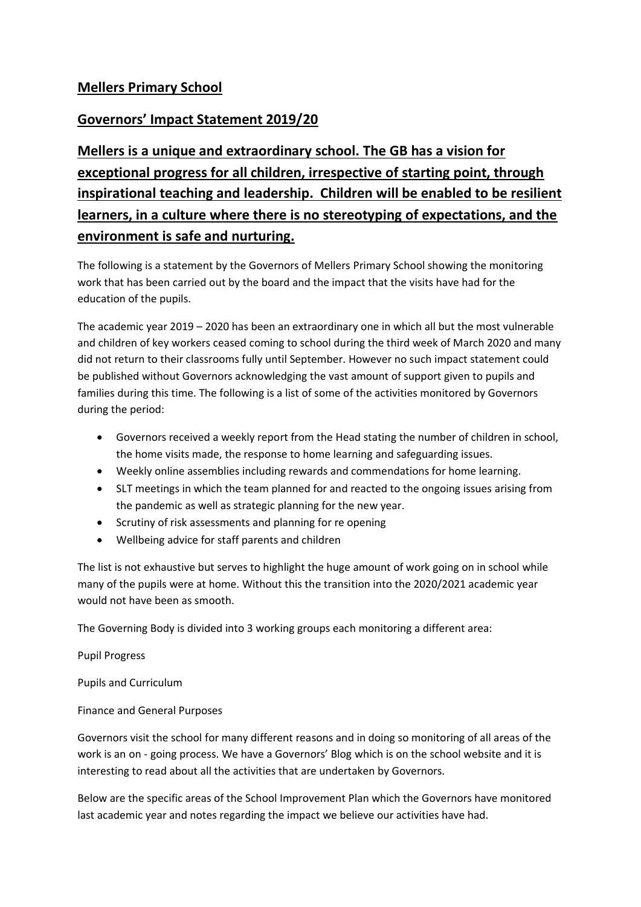## **Mellers Primary School**

## **Governors' Impact Statement 2019/20**

**Mellers is a unique and extraordinary school. The GB has a vision for exceptional progress for all children, irrespective of starting point, through inspirational teaching and leadership. Children will be enabled to be resilient learners, in a culture where there is no stereotyping of expectations, and the environment is safe and nurturing.**

The following is a statement by the Governors of Mellers Primary School showing the monitoring work that has been carried out by the board and the impact that the visits have had for the education of the pupils.

The academic year 2019 – 2020 has been an extraordinary one in which all but the most vulnerable and children of key workers ceased coming to school during the third week of March 2020 and many did not return to their classrooms fully until September. However no such impact statement could be published without Governors acknowledging the vast amount of support given to pupils and families during this time. The following is a list of some of the activities monitored by Governors during the period:

- Governors received a weekly report from the Head stating the number of children in school, the home visits made, the response to home learning and safeguarding issues.
- Weekly online assemblies including rewards and commendations for home learning.
- SLT meetings in which the team planned for and reacted to the ongoing issues arising from the pandemic as well as strategic planning for the new year.
- Scrutiny of risk assessments and planning for re opening
- Wellbeing advice for staff parents and children

The list is not exhaustive but serves to highlight the huge amount of work going on in school while many of the pupils were at home. Without this the transition into the 2020/2021 academic year would not have been as smooth.

The Governing Body is divided into 3 working groups each monitoring a different area:

Pupil Progress

Pupils and Curriculum

Finance and General Purposes

Governors visit the school for many different reasons and in doing so monitoring of all areas of the work is an on - going process. We have a Governors' Blog which is on the school website and it is interesting to read about all the activities that are undertaken by Governors.

Below are the specific areas of the School Improvement Plan which the Governors have monitored last academic year and notes regarding the impact we believe our activities have had.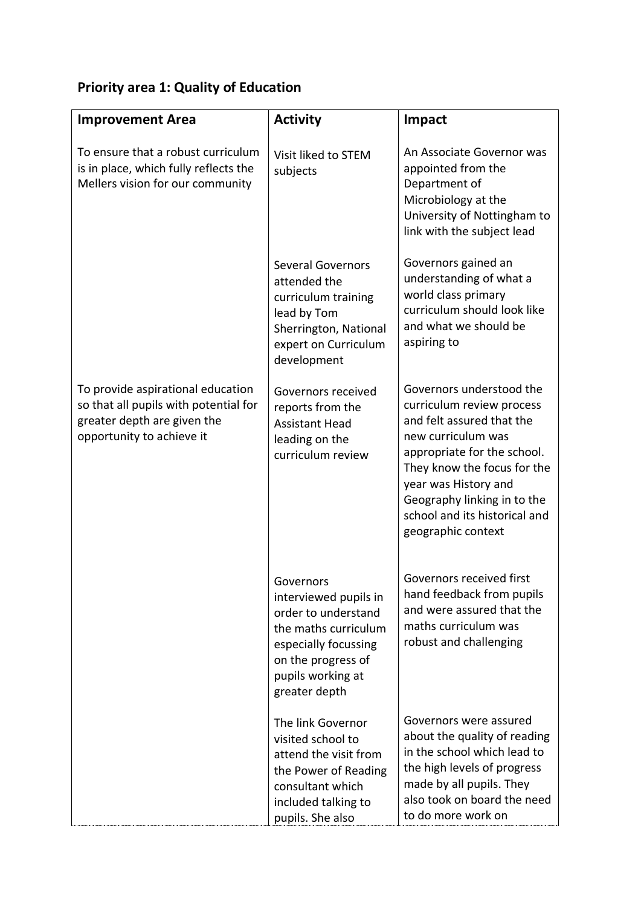## **Priority area 1: Quality of Education**

| <b>Improvement Area</b>                                                                                                                | <b>Activity</b>                                                                                                                                                       | Impact                                                                                                                                                                                                                                                                               |
|----------------------------------------------------------------------------------------------------------------------------------------|-----------------------------------------------------------------------------------------------------------------------------------------------------------------------|--------------------------------------------------------------------------------------------------------------------------------------------------------------------------------------------------------------------------------------------------------------------------------------|
| To ensure that a robust curriculum<br>is in place, which fully reflects the<br>Mellers vision for our community                        | Visit liked to STEM<br>subjects                                                                                                                                       | An Associate Governor was<br>appointed from the<br>Department of<br>Microbiology at the<br>University of Nottingham to<br>link with the subject lead                                                                                                                                 |
|                                                                                                                                        | <b>Several Governors</b><br>attended the<br>curriculum training<br>lead by Tom<br>Sherrington, National<br>expert on Curriculum<br>development                        | Governors gained an<br>understanding of what a<br>world class primary<br>curriculum should look like<br>and what we should be<br>aspiring to                                                                                                                                         |
| To provide aspirational education<br>so that all pupils with potential for<br>greater depth are given the<br>opportunity to achieve it | Governors received<br>reports from the<br><b>Assistant Head</b><br>leading on the<br>curriculum review                                                                | Governors understood the<br>curriculum review process<br>and felt assured that the<br>new curriculum was<br>appropriate for the school.<br>They know the focus for the<br>year was History and<br>Geography linking in to the<br>school and its historical and<br>geographic context |
|                                                                                                                                        | Governors<br>interviewed pupils in<br>order to understand<br>the maths curriculum<br>especially focussing<br>on the progress of<br>pupils working at<br>greater depth | Governors received first<br>hand feedback from pupils<br>and were assured that the<br>maths curriculum was<br>robust and challenging                                                                                                                                                 |
|                                                                                                                                        | The link Governor<br>visited school to<br>attend the visit from<br>the Power of Reading<br>consultant which<br>included talking to<br>pupils. She also                | Governors were assured<br>about the quality of reading<br>in the school which lead to<br>the high levels of progress<br>made by all pupils. They<br>also took on board the need<br>to do more work on                                                                                |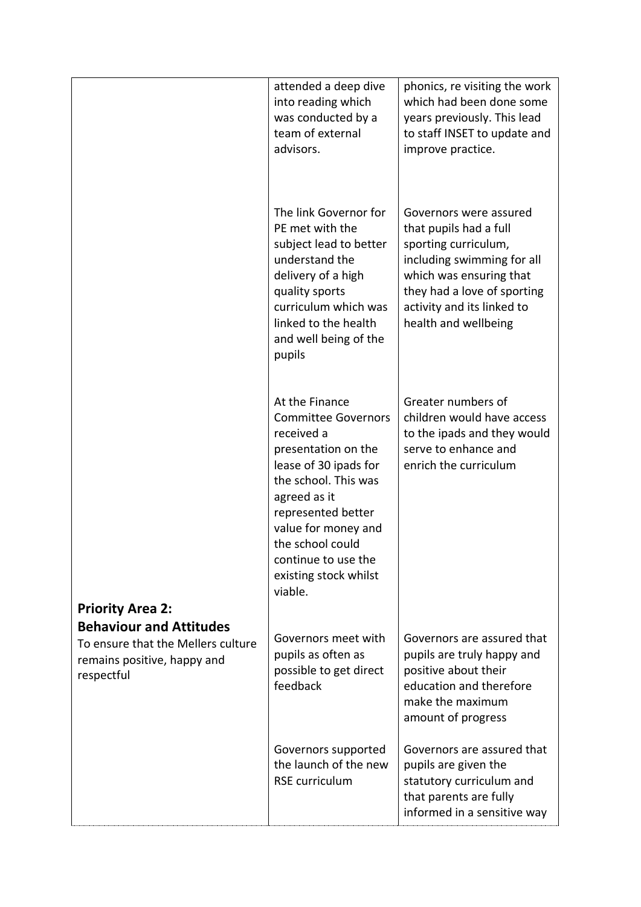|                                                                                                                   | attended a deep dive<br>into reading which<br>was conducted by a<br>team of external<br>advisors.                                                                                                                                                                              | phonics, re visiting the work<br>which had been done some<br>years previously. This lead<br>to staff INSET to update and<br>improve practice.                                                                          |
|-------------------------------------------------------------------------------------------------------------------|--------------------------------------------------------------------------------------------------------------------------------------------------------------------------------------------------------------------------------------------------------------------------------|------------------------------------------------------------------------------------------------------------------------------------------------------------------------------------------------------------------------|
|                                                                                                                   | The link Governor for<br>PE met with the<br>subject lead to better<br>understand the<br>delivery of a high<br>quality sports<br>curriculum which was<br>linked to the health<br>and well being of the<br>pupils                                                                | Governors were assured<br>that pupils had a full<br>sporting curriculum,<br>including swimming for all<br>which was ensuring that<br>they had a love of sporting<br>activity and its linked to<br>health and wellbeing |
| <b>Priority Area 2:</b>                                                                                           | At the Finance<br><b>Committee Governors</b><br>received a<br>presentation on the<br>lease of 30 ipads for<br>the school. This was<br>agreed as it<br>represented better<br>value for money and<br>the school could<br>continue to use the<br>existing stock whilst<br>viable. | Greater numbers of<br>children would have access<br>to the ipads and they would<br>serve to enhance and<br>enrich the curriculum                                                                                       |
| <b>Behaviour and Attitudes</b><br>To ensure that the Mellers culture<br>remains positive, happy and<br>respectful | Governors meet with<br>pupils as often as<br>possible to get direct<br>feedback                                                                                                                                                                                                | Governors are assured that<br>pupils are truly happy and<br>positive about their<br>education and therefore<br>make the maximum<br>amount of progress                                                                  |
|                                                                                                                   | Governors supported<br>the launch of the new<br><b>RSE</b> curriculum                                                                                                                                                                                                          | Governors are assured that<br>pupils are given the<br>statutory curriculum and<br>that parents are fully<br>informed in a sensitive way                                                                                |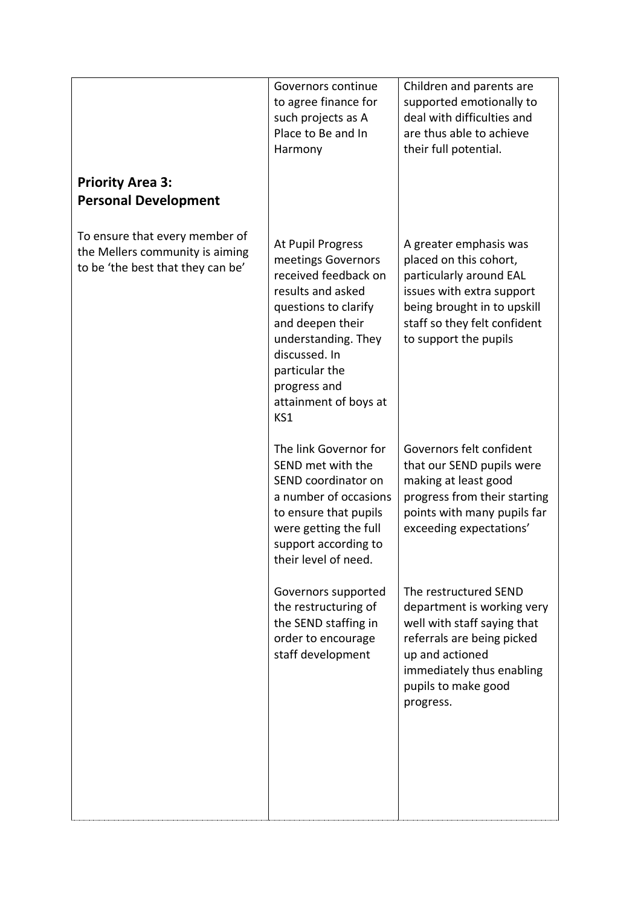| <b>Priority Area 3:</b><br><b>Personal Development</b>                                                 | Governors continue<br>to agree finance for<br>such projects as A<br>Place to Be and In<br>Harmony                                                                                                                                          | Children and parents are<br>supported emotionally to<br>deal with difficulties and<br>are thus able to achieve<br>their full potential.                                                              |
|--------------------------------------------------------------------------------------------------------|--------------------------------------------------------------------------------------------------------------------------------------------------------------------------------------------------------------------------------------------|------------------------------------------------------------------------------------------------------------------------------------------------------------------------------------------------------|
| To ensure that every member of<br>the Mellers community is aiming<br>to be 'the best that they can be' | At Pupil Progress<br>meetings Governors<br>received feedback on<br>results and asked<br>questions to clarify<br>and deepen their<br>understanding. They<br>discussed. In<br>particular the<br>progress and<br>attainment of boys at<br>KS1 | A greater emphasis was<br>placed on this cohort,<br>particularly around EAL<br>issues with extra support<br>being brought in to upskill<br>staff so they felt confident<br>to support the pupils     |
|                                                                                                        | The link Governor for<br>SEND met with the<br>SEND coordinator on<br>a number of occasions<br>to ensure that pupils<br>were getting the full<br>support according to<br>their level of need.                                               | Governors felt confident<br>that our SEND pupils were<br>making at least good<br>progress from their starting<br>points with many pupils far<br>exceeding expectations'                              |
|                                                                                                        | Governors supported<br>the restructuring of<br>the SEND staffing in<br>order to encourage<br>staff development                                                                                                                             | The restructured SEND<br>department is working very<br>well with staff saying that<br>referrals are being picked<br>up and actioned<br>immediately thus enabling<br>pupils to make good<br>progress. |